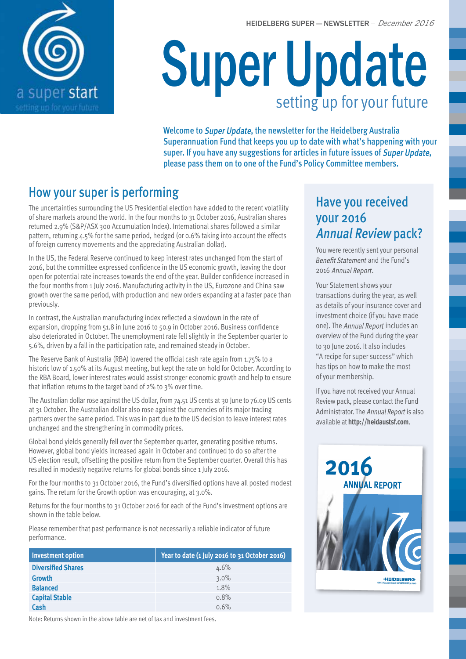

# Super Update setting up for your future

Welcome to Super Update, the newsletter for the Heidelberg Australia Superannuation Fund that keeps you up to date with what's happening with your super. If you have any suggestions for articles in future issues of Super Update, please pass them on to one of the Fund's Policy Committee members.

## How your super is performing

The uncertainties surrounding the US Presidential election have added to the recent volatility of share markets around the world. In the four months to 31 October 2016, Australian shares returned 2.9% (S&P/ASX 300 Accumulation Index). International shares followed a similar pattern, returning 4.5% for the same period, hedged (or 0.6% taking into account the effects of foreign currency movements and the appreciating Australian dollar).

In the US, the Federal Reserve continued to keep interest rates unchanged from the start of 2016, but the committee expressed confidence in the US economic growth, leaving the door open for potential rate increases towards the end of the year. Builder confidence increased in the four months from 1 July 2016. Manufacturing activity in the US, Eurozone and China saw growth over the same period, with production and new orders expanding at a faster pace than previously.

In contrast, the Australian manufacturing index reflected a slowdown in the rate of expansion, dropping from 51.8 in June 2016 to 50.9 in October 2016. Business confidence also deteriorated in October. The unemployment rate fell slightly in the September quarter to 5.6%, driven by a fall in the participation rate, and remained steady in October.

The Reserve Bank of Australia (RBA) lowered the official cash rate again from 1.75% to a historic low of 1.50% at its August meeting, but kept the rate on hold for October. According to the RBA Board, lower interest rates would assist stronger economic growth and help to ensure that inflation returns to the target band of 2% to 3% over time.

The Australian dollar rose against the US dollar, from 74.51 US cents at 30 June to 76.09 US cents at 31 October. The Australian dollar also rose against the currencies of its major trading partners over the same period. This was in part due to the US decision to leave interest rates unchanged and the strengthening in commodity prices.

Global bond yields generally fell over the September quarter, generating positive returns. However, global bond yields increased again in October and continued to do so after the US election result, offsetting the positive return from the September quarter. Overall this has resulted in modestly negative returns for global bonds since 1 July 2016.

For the four months to 31 October 2016, the Fund's diversified options have all posted modest gains. The return for the Growth option was encouraging, at 3.0%.

Returns for the four months to 31 October 2016 for each of the Fund's investment options are shown in the table below.

Please remember that past performance is not necessarily a reliable indicator of future performance.

| <b>Investment option</b>  | Year to date (1 July 2016 to 31 October 2016) |
|---------------------------|-----------------------------------------------|
| <b>Diversified Shares</b> | $4.6\%$                                       |
| Growth                    | $3.0\%$                                       |
| <b>Balanced</b>           | 1.8%                                          |
| <b>Capital Stable</b>     | 0.8%                                          |
| Cash                      | 0.6%                                          |

Have you received your 2016 Annual Review pack?

You were recently sent your personal Benefit Statement and the Fund's 2016 Annual Report.

Your Statement shows your transactions during the year, as well as details of your insurance cover and investment choice (if you have made one). The Annual Report includes an overview of the Fund during the year to 30 June 2016. It also includes "A recipe for super success" which has tips on how to make the most of your membership.

If you have not received your Annual Review pack, please contact the Fund Administrator. The Annual Report is also available at **http://heidaustsf.com**.



Note: Returns shown in the above table are net of tax and investment fees.